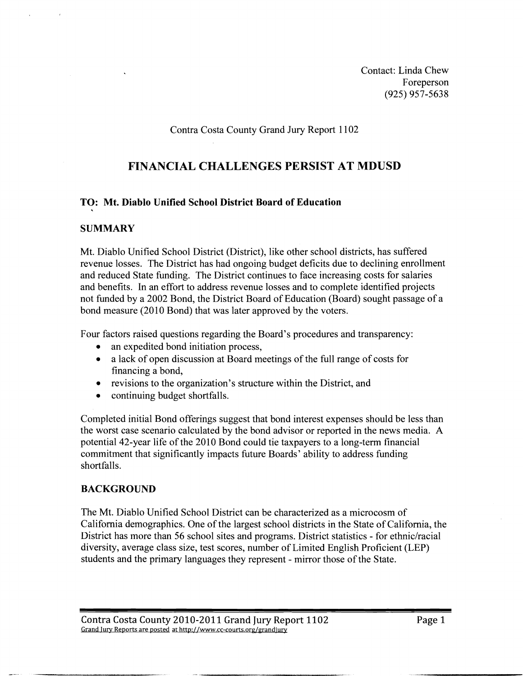Contact: Linda Chew Foreperson (925) 957-5638

Contra Costa County Grand Jury Report 1 102

# **FINANCIAL CHALLENGES PERSIST AT MDUSD**

### **TO: Mt. Diablo Unified School District Board of Education**

#### **SUMMARY**

Mt. Diablo Unified School District (District), like other school districts, has suffered revenue losses. The District has had ongoing budget deficits due to declining enrollment and reduced State funding. The District continues to face increasing costs for salaries and benefits. In an effort to address revenue losses and to complete identified projects not funded by a 2002 Bond, the District Board of Education (Board) sought passage of a bond measure (2010 Bond) that was later approved by the voters.

Four factors raised questions regarding the Board's procedures and transparency:

- an expedited bond initiation process,
- a lack of open discussion at Board meetings of the full range of costs for financing a bond,
- revisions to the organization's structure within the District, and  $\bullet$
- $\bullet$ continuing budget shortfalls.

Completed initial Bond offerings suggest that bond interest expenses should be less than the worst case scenario calculated by the bond advisor or reported in the news media. A potential 42-year life of the 2010 Bond could tie taxpayers to a long-term financial commitment that significantly impacts future Boards' ability to address funding shortfalls.

### **BACKGROUND**

The Mt. Diablo Unified School District can be characterized as a microcosm of California demographics. One of the largest school districts in the State of California, the District has more than 56 school sites and programs. District statistics - for ethnic/racial diversity, average class size, test scores, number of Limited English Proficient (LEP) students and the primary languages they represent - mirror those of the State.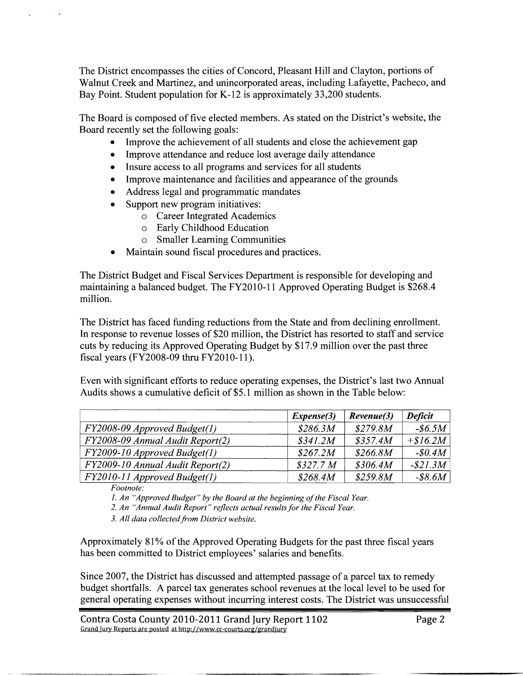The District encompasses the cities of Concord, Pleasant Hill and Clayton, portions of Walnut Creek and Martinez, and unincorporated areas, including Lafayette, Pacheco, and Bay Point. Student population for K-12 is approximately 33,200 students.

The Board is composed of five elected members. As stated on the District's website, the Board recently set the following goals:

- Improve the achievement of all students and close the achievement gap  $\bullet$
- $\bullet$ Improve attendance and reduce lost average daily attendance
- Insure access to all programs and services for all students  $\bullet$
- Improve maintenance and facilities and appearance of the grounds  $\bullet$
- Address legal and programmatic mandates
- Support new program initiatives:
	- o Career Integrated Academics
	- o Early Childhood Education
	- o Smaller Learning Communities
- Maintain sound fiscal procedures and practices.

The District Budget and Fiscal Services Department is responsible for developing and maintaining a balanced budget. The FY2010-11 Approved Operating Budget is \$268.4 million.

| Even with significant efforts to reduce operating expenses, the District's last two Annual<br>Audits shows a cumulative deficit of \$5.1 million as shown in the Table below: |
|-------------------------------------------------------------------------------------------------------------------------------------------------------------------------------|
|                                                                                                                                                                               |
|                                                                                                                                                                               |
|                                                                                                                                                                               |
| FY2008-09 Approved Budget(1)                                                                                                                                                  |
| FY2008-09 Annual Audit Report(2)                                                                                                                                              |
|                                                                                                                                                                               |
| FY2009-10 Approved Budget(1)<br>FY2009-10 Annual Audit Report(2)                                                                                                              |

*2. An "Annual Audit Report" reflects actual results for the Fiscal Year.* 

*3. All data collected?om District website.* 

Approximately 81% of the Approved Operating Budgets for the past three fiscal years has been committed to District employees' salaries and benefits.

Since 2007, the District has discussed and attempted passage of a parcel tax to remedy budget shortfalls. A parcel tax generates school revenues at the local level to be used for general operating expenses without incurring interest costs. The District was unsuccesshl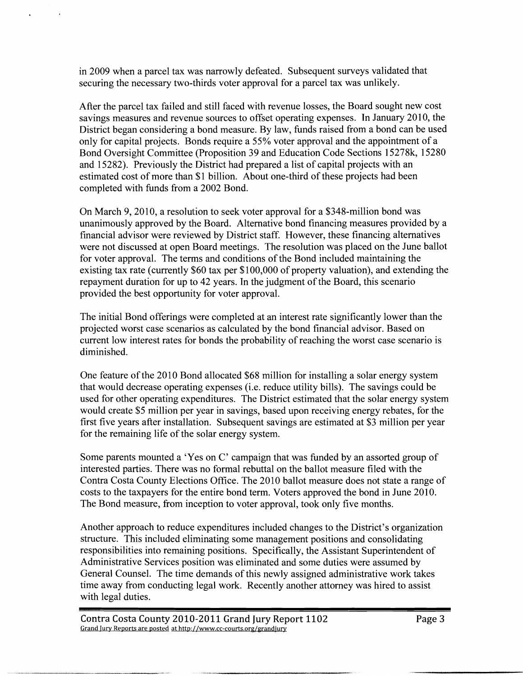in 2009 when a parcel tax was narrowly defeated. Subsequent surveys validated that securing the necessary two-thirds voter approval for a parcel tax was unlikely.

After the parcel tax failed and still faced with revenue losses, the Board sought new cost savings measures and revenue sources to offset operating expenses. In January 2010, the District began considering a bond measure. By law, funds raised from a bond can be used only for capital projects. Bonds require a 55% voter approval and the appointment of a Bond Oversight Committee (Proposition 39 and Education Code Sections 15278k, 15280 and 15282). Previously the District had prepared a list of capital projects with an estimated cost of more than \$1 billion. About one-third of these projects had been completed with funds from a 2002 Bond.

On March 9, 2010, a resolution to seek voter approval for a \$348-million bond was unanimously approved by the Board. Alternative bond financing measures provided by a financial advisor were reviewed by District staff. However, these financing alternatives were not discussed at open Board meetings. The resolution was placed on the June ballot for voter approval. The terms and conditions of the Bond included maintaining the existing tax rate (currently \$60 tax per \$100,000 of property valuation), and extending the repayment duration for up to 42 years. Tn the judgment of the Board, this scenario provided the best opportunity for voter approval.

The initial Bond offerings were completed at an interest rate significantly lower than the projected worst case scenarios as calculated by the bond financial advisor. Based on current low interest rates for bonds the probability of reaching the worst case scenario is diminished.

One feature of the 2010 Bond allocated \$68 million for installing a solar energy system that would decrease operating expenses (i.e. reduce utility bills). The savings could be used for other operating expenditures. The District estimated that the solar energy system would create \$5 million per year in savings, based upon receiving energy rebates, for the first five years after installation. Subsequent savings are estimated at \$3 million per year for the remaining life of the solar energy system.

Some parents mounted a 'Yes on C' campaign that was funded by an assorted group of interested parties. There was no formal rebuttal on the ballot measure filed with the Contra Costa County Elections Office. The 2010 ballot measure does not state a range of costs to the taxpayers for the entire bond term. Voters approved the bond in June 2010. The Bond measure, from inception to voter approval, took only five months.

Another approach to reduce expenditures included changes to the District's organization structure. This included eliminating some management positions and consolidating responsibilities into remaining positions. Specifically, the Assistant Superintendent of Administrative Services position was eliminated and some duties were assumed by General Counsel. The time demands of this newly assigned administrative work takes time away from conducting legal work. Recently another attorney was hired to assist with legal duties.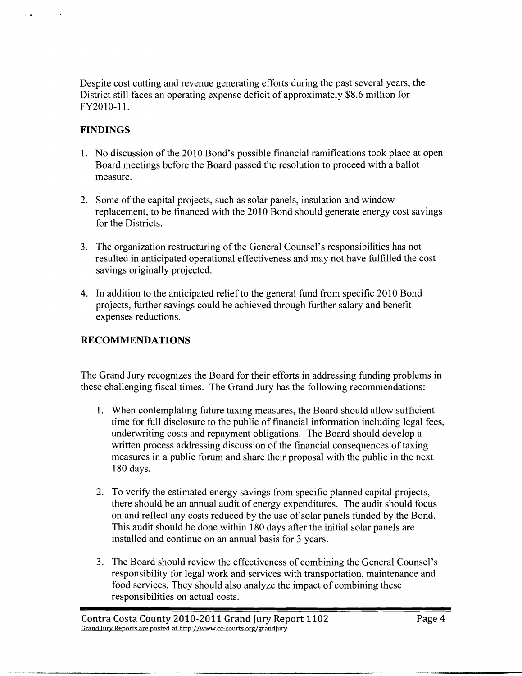Despite cost cutting and revenue generating efforts during the past several years, the District still faces an operating expense deficit of approximately \$8.6 million for FY2010-11.

## **FINDINGS**

 $\alpha$  and  $\alpha$ 

 $\bullet$ 

- 1. No discussion of the 2010 Bond's possible financial ramifications took place at open Board meetings before the Board passed the resolution to proceed with a ballot measure.
- 2. Some of the capital projects, such as solar panels, insulation and window replacement, to be financed with the 2010 Bond should generate energy cost savings for the Districts.
- 3. The organization restructuring of the General Counsel's responsibilities has not resulted in anticipated operational effectiveness and may not have fulfilled the cost savings originally projected.
- 4. In addition to the anticipated relief to the general fund from specific 2010 Bond projects, further savings could be achieved through further salary and benefit expenses reductions.

# **RECOMMENDATIONS**

The Grand Jury recognizes the Board for their efforts in addressing funding problems in these challenging fiscal times. The Grand Jury has the following recommendations:

- 1. When contemplating future taxing measures, the Board should allow sufficient time for full disclosure to the public of financial information including legal fees, underwriting costs and repayment obligations. The Board should develop a written process addressing discussion of the financial consequences of taxing measures in a public forum and share their proposal with the public in the next 180 days.
- 2. To verify the estimated energy savings from specific planned capital projects, there should be an annual audit of energy expenditures. The audit should focus on and reflect any costs reduced by the use of solar panels funded by the Bond. This audit should be done within 180 days after the initial solar panels are installed and continue on an annual basis for **3** years.
- 3. The Board should review the effectiveness of combining the General Counsel's responsibility for legal work and services with transportation, maintenance and food services. They should also analyze the impact of combining these responsibilities on actual costs.